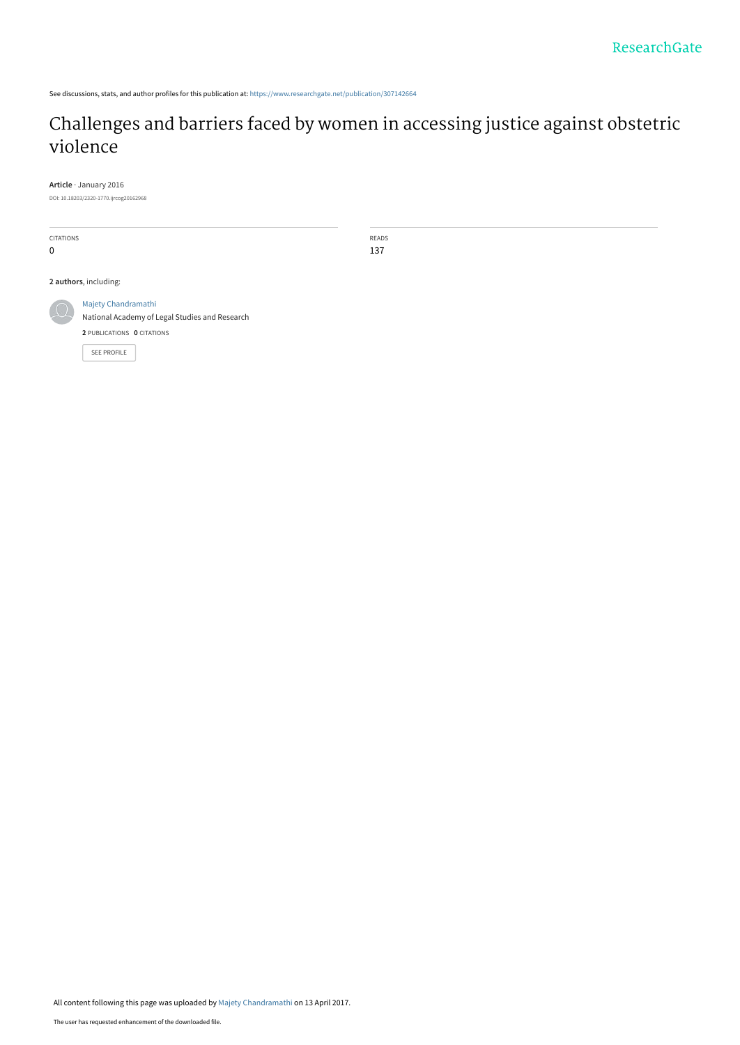See discussions, stats, and author profiles for this publication at: [https://www.researchgate.net/publication/307142664](https://www.researchgate.net/publication/307142664_Challenges_and_barriers_faced_by_women_in_accessing_justice_against_obstetric_violence?enrichId=rgreq-420fc44d3f5e2dae5c86a1673e41429d-XXX&enrichSource=Y292ZXJQYWdlOzMwNzE0MjY2NDtBUzo0ODI1ODEwMjA5NzUxMDRAMTQ5MjA2NzY4OTIyOA%3D%3D&el=1_x_2&_esc=publicationCoverPdf)

# [Challenges and barriers faced by women in accessing justice against obstetric](https://www.researchgate.net/publication/307142664_Challenges_and_barriers_faced_by_women_in_accessing_justice_against_obstetric_violence?enrichId=rgreq-420fc44d3f5e2dae5c86a1673e41429d-XXX&enrichSource=Y292ZXJQYWdlOzMwNzE0MjY2NDtBUzo0ODI1ODEwMjA5NzUxMDRAMTQ5MjA2NzY4OTIyOA%3D%3D&el=1_x_3&_esc=publicationCoverPdf) violence

**Article** · January 2016

DOI: 10.18203/2320-1770.ijrcog20162968

CITATIONS 0 **2 authors**, including: READS 137



[Majety Chandramathi](https://www.researchgate.net/profile/Majety-Chandramathi?enrichId=rgreq-420fc44d3f5e2dae5c86a1673e41429d-XXX&enrichSource=Y292ZXJQYWdlOzMwNzE0MjY2NDtBUzo0ODI1ODEwMjA5NzUxMDRAMTQ5MjA2NzY4OTIyOA%3D%3D&el=1_x_5&_esc=publicationCoverPdf) [National Academy of Legal Studies and Research](https://www.researchgate.net/institution/National-Academy-of-Legal-Studies-and-Research?enrichId=rgreq-420fc44d3f5e2dae5c86a1673e41429d-XXX&enrichSource=Y292ZXJQYWdlOzMwNzE0MjY2NDtBUzo0ODI1ODEwMjA5NzUxMDRAMTQ5MjA2NzY4OTIyOA%3D%3D&el=1_x_6&_esc=publicationCoverPdf) **2** PUBLICATIONS **0** CITATIONS [SEE PROFILE](https://www.researchgate.net/profile/Majety-Chandramathi?enrichId=rgreq-420fc44d3f5e2dae5c86a1673e41429d-XXX&enrichSource=Y292ZXJQYWdlOzMwNzE0MjY2NDtBUzo0ODI1ODEwMjA5NzUxMDRAMTQ5MjA2NzY4OTIyOA%3D%3D&el=1_x_7&_esc=publicationCoverPdf)

All content following this page was uploaded by [Majety Chandramathi](https://www.researchgate.net/profile/Majety-Chandramathi?enrichId=rgreq-420fc44d3f5e2dae5c86a1673e41429d-XXX&enrichSource=Y292ZXJQYWdlOzMwNzE0MjY2NDtBUzo0ODI1ODEwMjA5NzUxMDRAMTQ5MjA2NzY4OTIyOA%3D%3D&el=1_x_10&_esc=publicationCoverPdf) on 13 April 2017.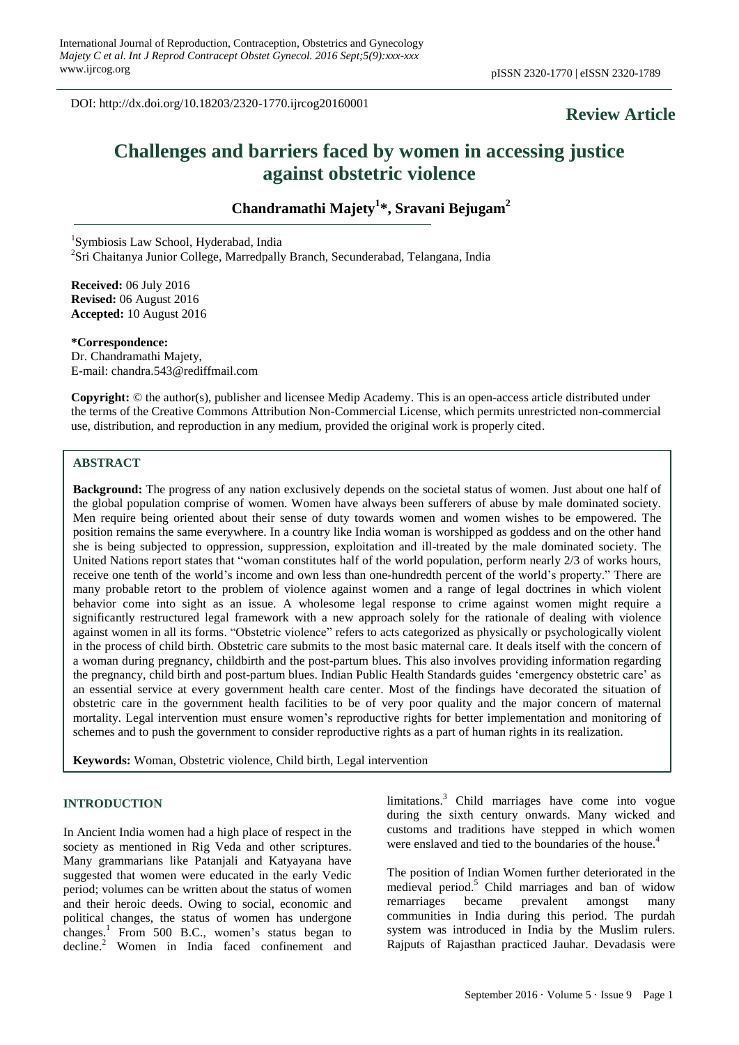DOI: http://dx.doi.org/10.18203/2320-1770.ijrcog20160001

## **Review Article**

## **Challenges and barriers faced by women in accessing justice against obstetric violence**

**Chandramathi Majety<sup>1</sup> \*, Sravani Bejugam<sup>2</sup>**

1 Symbiosis Law School, Hyderabad, India <sup>2</sup>Sri Chaitanya Junior College, Marredpally Branch, Secunderabad, Telangana, India

**Received:** 06 July 2016 **Revised:** 06 August 2016 **Accepted:** 10 August 2016

**\*Correspondence:** Dr. Chandramathi Majety, E-mail: chandra.543@rediffmail.com

**Copyright:** © the author(s), publisher and licensee Medip Academy. This is an open-access article distributed under the terms of the Creative Commons Attribution Non-Commercial License, which permits unrestricted non-commercial use, distribution, and reproduction in any medium, provided the original work is properly cited.

## **ABSTRACT**

**Background:** The progress of any nation exclusively depends on the societal status of women. Just about one half of the global population comprise of women. Women have always been sufferers of abuse by male dominated society. Men require being oriented about their sense of duty towards women and women wishes to be empowered. The position remains the same everywhere. In a country like India woman is worshipped as goddess and on the other hand she is being subjected to oppression, suppression, exploitation and ill-treated by the male dominated society. The United Nations report states that "woman constitutes half of the world population, perform nearly 2/3 of works hours, receive one tenth of the world"s income and own less than one-hundredth percent of the world"s property." There are many probable retort to the problem of violence against women and a range of legal doctrines in which violent behavior come into sight as an issue. A wholesome legal response to crime against women might require a significantly restructured legal framework with a new approach solely for the rationale of dealing with violence against women in all its forms. "Obstetric violence" refers to acts categorized as physically or psychologically violent in the process of child birth. Obstetric care submits to the most basic maternal care. It deals itself with the concern of a woman during pregnancy, childbirth and the post-partum blues. This also involves providing information regarding the pregnancy, child birth and post-partum blues. Indian Public Health Standards guides "emergency obstetric care" as an essential service at every government health care center. Most of the findings have decorated the situation of obstetric care in the government health facilities to be of very poor quality and the major concern of maternal mortality. Legal intervention must ensure women"s reproductive rights for better implementation and monitoring of schemes and to push the government to consider reproductive rights as a part of human rights in its realization.

**Keywords:** Woman, Obstetric violence, Child birth, Legal intervention

#### **INTRODUCTION**

In Ancient India women had a high place of respect in the society as mentioned in Rig Veda and other scriptures. Many grammarians like Patanjali and Katyayana have suggested that women were educated in the early Vedic period; volumes can be written about the status of women and their heroic deeds. Owing to social, economic and political changes, the status of women has undergone changes.<sup>1</sup> From 500 B.C., women's status began to decline.<sup>2</sup> Women in India faced confinement and limitations.<sup>3</sup> Child marriages have come into vogue during the sixth century onwards. Many wicked and customs and traditions have stepped in which women were enslaved and tied to the boundaries of the house.<sup>4</sup>

The position of Indian Women further deteriorated in the medieval period.<sup>5</sup> Child marriages and ban of widow remarriages became prevalent amongst many communities in India during this period. The purdah system was introduced in India by the Muslim rulers. Rajputs of Rajasthan practiced Jauhar. Devadasis were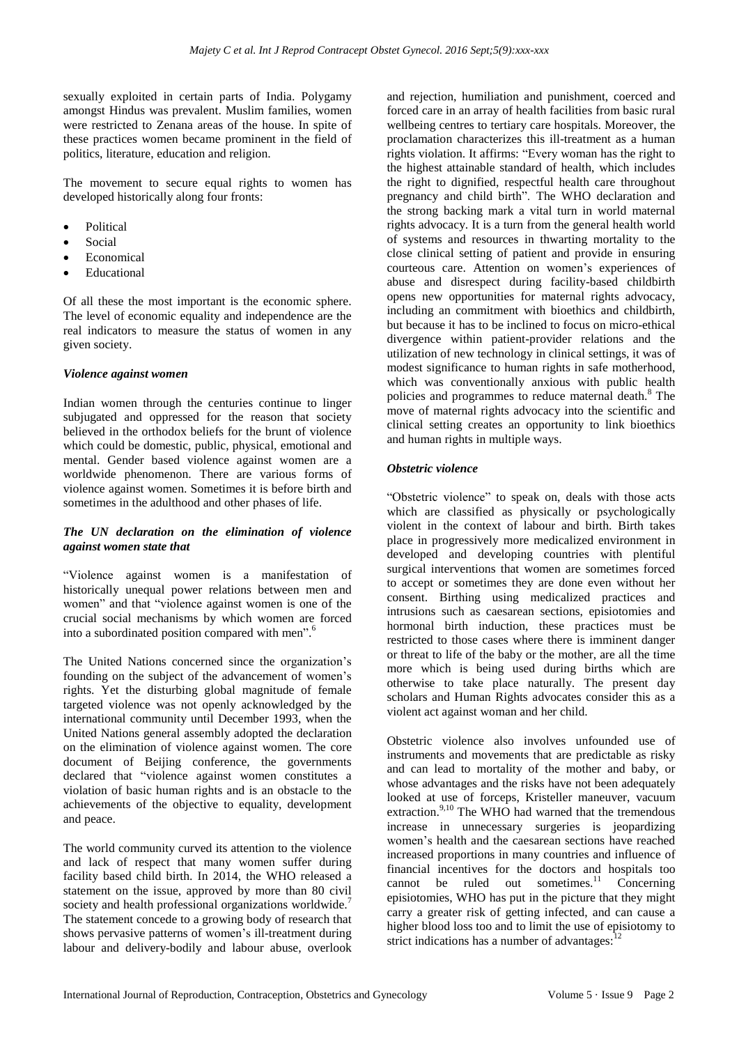sexually exploited in certain parts of India. Polygamy amongst Hindus was prevalent. Muslim families, women were restricted to Zenana areas of the house. In spite of these practices women became prominent in the field of politics, literature, education and religion.

The movement to secure equal rights to women has developed historically along four fronts:

- Political
- Social
- Economical
- Educational

Of all these the most important is the economic sphere. The level of economic equality and independence are the real indicators to measure the status of women in any given society.

## *Violence against women*

Indian women through the centuries continue to linger subjugated and oppressed for the reason that society believed in the orthodox beliefs for the brunt of violence which could be domestic, public, physical, emotional and mental. Gender based violence against women are a worldwide phenomenon. There are various forms of violence against women. Sometimes it is before birth and sometimes in the adulthood and other phases of life.

## *The UN declaration on the elimination of violence against women state that*

"Violence against women is a manifestation of historically unequal power relations between men and women" and that "violence against women is one of the crucial social mechanisms by which women are forced into a subordinated position compared with men".<sup>6</sup>

The United Nations concerned since the organization"s founding on the subject of the advancement of women"s rights. Yet the disturbing global magnitude of female targeted violence was not openly acknowledged by the international community until December 1993, when the United Nations general assembly adopted the declaration on the elimination of violence against women. The core document of Beijing conference, the governments declared that "violence against women constitutes a violation of basic human rights and is an obstacle to the achievements of the objective to equality, development and peace.

The world community curved its attention to the violence and lack of respect that many women suffer during facility based child birth. In 2014, the WHO released a statement on the issue, approved by more than 80 civil society and health professional organizations worldwide.<sup>7</sup> The statement concede to a growing body of research that shows pervasive patterns of women's ill-treatment during labour and delivery-bodily and labour abuse, overlook and rejection, humiliation and punishment, coerced and forced care in an array of health facilities from basic rural wellbeing centres to tertiary care hospitals. Moreover, the proclamation characterizes this ill-treatment as a human rights violation. It affirms: "Every woman has the right to the highest attainable standard of health, which includes the right to dignified, respectful health care throughout pregnancy and child birth". The WHO declaration and the strong backing mark a vital turn in world maternal rights advocacy. It is a turn from the general health world of systems and resources in thwarting mortality to the close clinical setting of patient and provide in ensuring courteous care. Attention on women"s experiences of abuse and disrespect during facility-based childbirth opens new opportunities for maternal rights advocacy, including an commitment with bioethics and childbirth, but because it has to be inclined to focus on micro-ethical divergence within patient-provider relations and the utilization of new technology in clinical settings, it was of modest significance to human rights in safe motherhood, which was conventionally anxious with public health policies and programmes to reduce maternal death.<sup>8</sup> The move of maternal rights advocacy into the scientific and clinical setting creates an opportunity to link bioethics and human rights in multiple ways.

## *Obstetric violence*

"Obstetric violence" to speak on, deals with those acts which are classified as physically or psychologically violent in the context of labour and birth. Birth takes place in progressively more medicalized environment in developed and developing countries with plentiful surgical interventions that women are sometimes forced to accept or sometimes they are done even without her consent. Birthing using medicalized practices and intrusions such as caesarean sections, episiotomies and hormonal birth induction, these practices must be restricted to those cases where there is imminent danger or threat to life of the baby or the mother, are all the time more which is being used during births which are otherwise to take place naturally. The present day scholars and Human Rights advocates consider this as a violent act against woman and her child.

Obstetric violence also involves unfounded use of instruments and movements that are predictable as risky and can lead to mortality of the mother and baby, or whose advantages and the risks have not been adequately looked at use of forceps, Kristeller maneuver, vacuum extraction.<sup>9,10</sup> The WHO had warned that the tremendous increase in unnecessary surgeries is jeopardizing women"s health and the caesarean sections have reached increased proportions in many countries and influence of financial incentives for the doctors and hospitals too cannot be ruled out sometimes. $\overline{11}$  Concerning episiotomies, WHO has put in the picture that they might carry a greater risk of getting infected, and can cause a higher blood loss too and to limit the use of episiotomy to strict indications has a number of advantages: $12$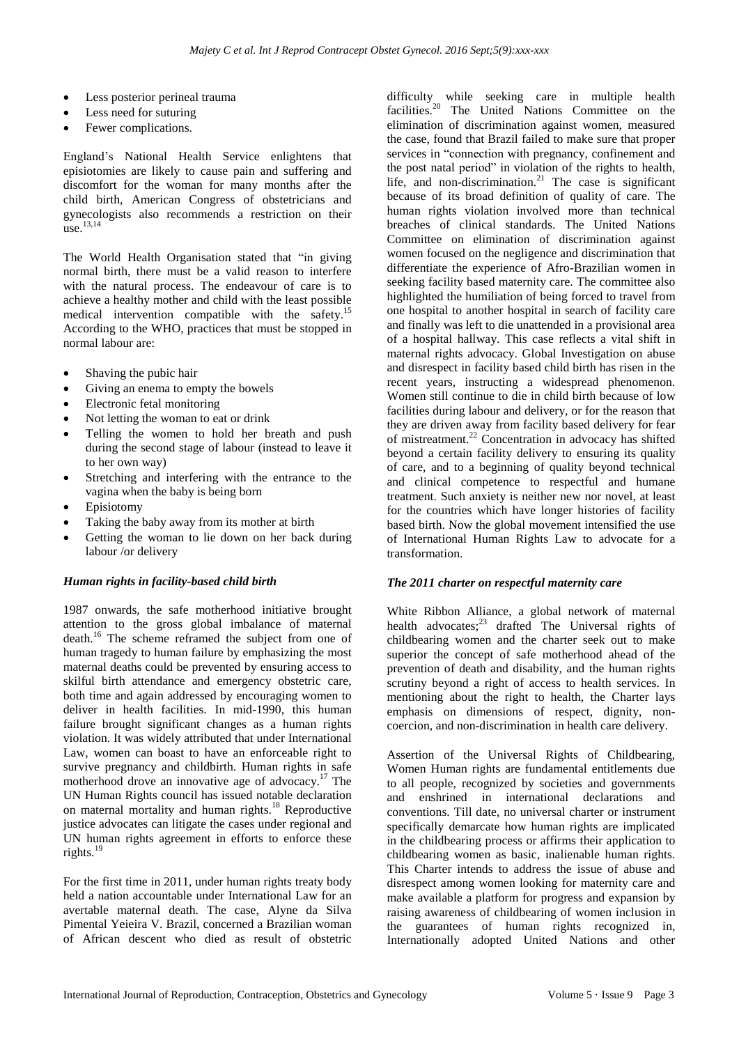- Less posterior perineal trauma
- Less need for suturing
- Fewer complications.

England"s National Health Service enlightens that episiotomies are likely to cause pain and suffering and discomfort for the woman for many months after the child birth, American Congress of obstetricians and gynecologists also recommends a restriction on their  $\frac{13,14}{11}$ 

The World Health Organisation stated that "in giving normal birth, there must be a valid reason to interfere with the natural process. The endeavour of care is to achieve a healthy mother and child with the least possible medical intervention compatible with the safety.<sup>15</sup> According to the WHO, practices that must be stopped in normal labour are:

- Shaving the pubic hair
- Giving an enema to empty the bowels
- Electronic fetal monitoring
- Not letting the woman to eat or drink
- Telling the women to hold her breath and push during the second stage of labour (instead to leave it to her own way)
- Stretching and interfering with the entrance to the vagina when the baby is being born
- Episiotomy
- Taking the baby away from its mother at birth
- Getting the woman to lie down on her back during labour /or delivery

## *Human rights in facility-based child birth*

1987 onwards, the safe motherhood initiative brought attention to the gross global imbalance of maternal death. <sup>16</sup> The scheme reframed the subject from one of human tragedy to human failure by emphasizing the most maternal deaths could be prevented by ensuring access to skilful birth attendance and emergency obstetric care, both time and again addressed by encouraging women to deliver in health facilities. In mid-1990, this human failure brought significant changes as a human rights violation. It was widely attributed that under International Law, women can boast to have an enforceable right to survive pregnancy and childbirth. Human rights in safe motherhood drove an innovative age of advocacy.<sup>17</sup> The UN Human Rights council has issued notable declaration on maternal mortality and human rights.<sup>18</sup> Reproductive justice advocates can litigate the cases under regional and UN human rights agreement in efforts to enforce these rights. $^{19}$ 

For the first time in 2011, under human rights treaty body held a nation accountable under International Law for an avertable maternal death. The case, Alyne da Silva Pimental Yeieira V. Brazil, concerned a Brazilian woman of African descent who died as result of obstetric

difficulty while seeking care in multiple health facilities.<sup>20</sup> The United Nations Committee on the elimination of discrimination against women, measured the case, found that Brazil failed to make sure that proper services in "connection with pregnancy, confinement and the post natal period" in violation of the rights to health, life, and non-discrimination.<sup>21</sup> The case is significant because of its broad definition of quality of care. The human rights violation involved more than technical breaches of clinical standards. The United Nations Committee on elimination of discrimination against women focused on the negligence and discrimination that differentiate the experience of Afro-Brazilian women in seeking facility based maternity care. The committee also highlighted the humiliation of being forced to travel from one hospital to another hospital in search of facility care and finally was left to die unattended in a provisional area of a hospital hallway. This case reflects a vital shift in maternal rights advocacy. Global Investigation on abuse and disrespect in facility based child birth has risen in the recent years, instructing a widespread phenomenon. Women still continue to die in child birth because of low facilities during labour and delivery, or for the reason that they are driven away from facility based delivery for fear of mistreatment.<sup>22</sup> Concentration in advocacy has shifted beyond a certain facility delivery to ensuring its quality of care, and to a beginning of quality beyond technical and clinical competence to respectful and humane treatment. Such anxiety is neither new nor novel, at least for the countries which have longer histories of facility based birth. Now the global movement intensified the use of International Human Rights Law to advocate for a transformation.

## *The 2011 charter on respectful maternity care*

White Ribbon Alliance, a global network of maternal health advocates;<sup>23</sup> drafted The Universal rights of childbearing women and the charter seek out to make superior the concept of safe motherhood ahead of the prevention of death and disability, and the human rights scrutiny beyond a right of access to health services. In mentioning about the right to health, the Charter lays emphasis on dimensions of respect, dignity, noncoercion, and non-discrimination in health care delivery.

Assertion of the Universal Rights of Childbearing, Women Human rights are fundamental entitlements due to all people, recognized by societies and governments and enshrined in international declarations and conventions. Till date, no universal charter or instrument specifically demarcate how human rights are implicated in the childbearing process or affirms their application to childbearing women as basic, inalienable human rights. This Charter intends to address the issue of abuse and disrespect among women looking for maternity care and make available a platform for progress and expansion by raising awareness of childbearing of women inclusion in the guarantees of human rights recognized in, Internationally adopted United Nations and other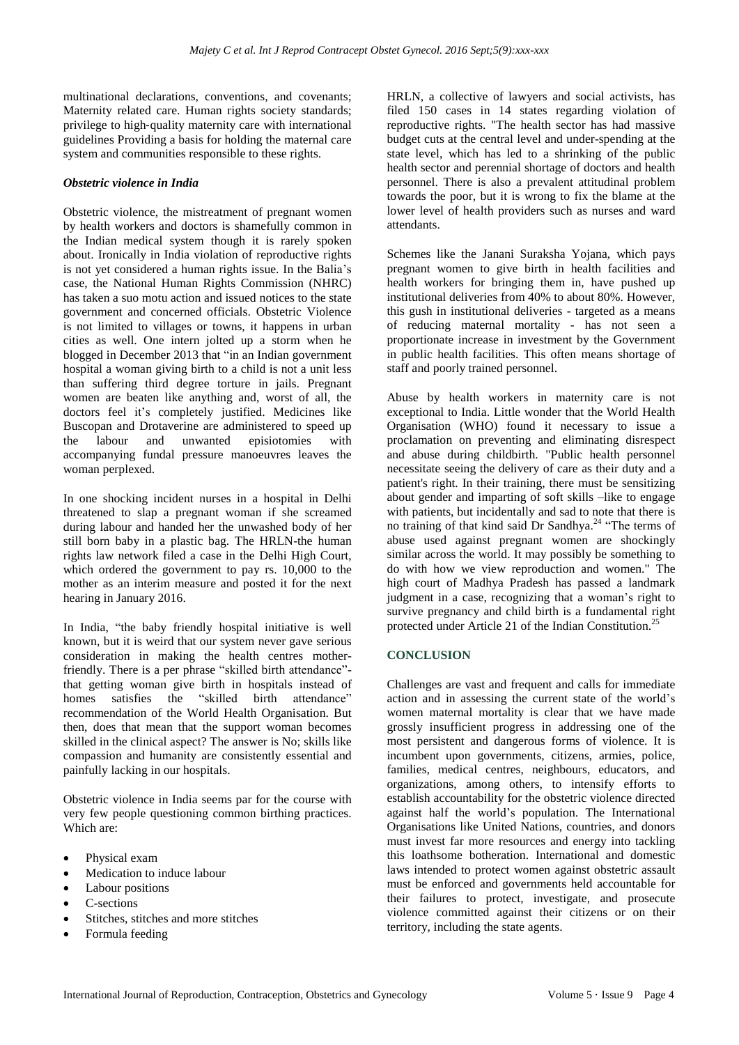multinational declarations, conventions, and covenants; Maternity related care. Human rights society standards; privilege to high‐quality maternity care with international guidelines Providing a basis for holding the maternal care system and communities responsible to these rights.

## *Obstetric violence in India*

Obstetric violence, the mistreatment of pregnant women by health workers and doctors is shamefully common in the Indian medical system though it is rarely spoken about. Ironically in India violation of reproductive rights is not yet considered a human rights issue. In the Balia"s case, the National Human Rights Commission (NHRC) has taken a suo motu action and issued notices to the state government and concerned officials. Obstetric Violence is not limited to villages or towns, it happens in urban cities as well. One intern jolted up a storm when he blogged in December 2013 that "in an Indian government hospital a woman giving birth to a child is not a unit less than suffering third degree torture in jails. Pregnant women are beaten like anything and, worst of all, the doctors feel it's completely justified. Medicines like Buscopan and Drotaverine are administered to speed up the labour and unwanted episiotomies with accompanying fundal pressure manoeuvres leaves the woman perplexed.

In one shocking incident nurses in a hospital in Delhi threatened to slap a pregnant woman if she screamed during labour and handed her the unwashed body of her still born baby in a plastic bag. The HRLN-the human rights law network filed a case in the Delhi High Court, which ordered the government to pay rs. 10,000 to the mother as an interim measure and posted it for the next hearing in January 2016.

In India, "the baby friendly hospital initiative is well known, but it is weird that our system never gave serious consideration in making the health centres motherfriendly. There is a per phrase "skilled birth attendance" that getting woman give birth in hospitals instead of homes satisfies the "skilled birth attendance" recommendation of the World Health Organisation. But then, does that mean that the support woman becomes skilled in the clinical aspect? The answer is No; skills like compassion and humanity are consistently essential and painfully lacking in our hospitals.

Obstetric violence in India seems par for the course with very few people questioning common birthing practices. Which are:

- Physical exam
- Medication to induce labour
- Labour positions
- C-sections
- Stitches, stitches and more stitches
- Formula feeding

HRLN, a collective of lawyers and social activists, has filed 150 cases in 14 states regarding violation of reproductive rights. "The health sector has had massive budget cuts at the central level and under-spending at the state level, which has led to a shrinking of the public health sector and perennial shortage of doctors and health personnel. There is also a prevalent attitudinal problem towards the poor, but it is wrong to fix the blame at the lower level of health providers such as nurses and ward attendants.

Schemes like the Janani Suraksha Yojana, which pays pregnant women to give birth in health facilities and health workers for bringing them in, have pushed up institutional deliveries from 40% to about 80%. However, this gush in institutional deliveries - targeted as a means of reducing maternal mortality - has not seen a proportionate increase in investment by the Government in public health facilities. This often means shortage of staff and poorly trained personnel.

Abuse by health workers in maternity care is not exceptional to India. Little wonder that the World Health Organisation (WHO) found it necessary to issue a proclamation on preventing and eliminating disrespect and abuse during childbirth. "Public health personnel necessitate seeing the delivery of care as their duty and a patient's right. In their training, there must be sensitizing about gender and imparting of soft skills –like to engage with patients, but incidentally and sad to note that there is no training of that kind said Dr Sandhya.<sup>24</sup> "The terms of abuse used against pregnant women are shockingly similar across the world. It may possibly be something to do with how we view reproduction and women." The high court of Madhya Pradesh has passed a landmark judgment in a case, recognizing that a woman"s right to survive pregnancy and child birth is a fundamental right protected under Article 21 of the Indian Constitution.<sup>2</sup>

## **CONCLUSION**

Challenges are vast and frequent and calls for immediate action and in assessing the current state of the world"s women maternal mortality is clear that we have made grossly insufficient progress in addressing one of the most persistent and dangerous forms of violence. It is incumbent upon governments, citizens, armies, police, families, medical centres, neighbours, educators, and organizations, among others, to intensify efforts to establish accountability for the obstetric violence directed against half the world"s population. The International Organisations like United Nations, countries, and donors must invest far more resources and energy into tackling this loathsome botheration. International and domestic laws intended to protect women against obstetric assault must be enforced and governments held accountable for their failures to protect, investigate, and prosecute violence committed against their citizens or on their territory, including the state agents.